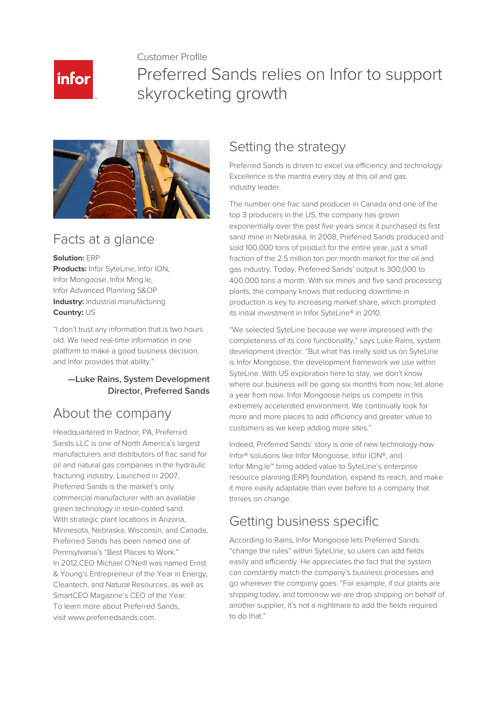Customer Profile



# Preferred Sands relies on Infor to support skyrocketing growth



#### Facts at a glance

**Solution:** ERP

**Products:** Infor SyteLine, Infor ION, Infor Mongoose, Infor Ming.le, Infor Advanced Planning S&OP **Industry:** Industrial manufacturing **Country:** US

"I don't trust any information that is two hours old. We need real-time information in one platform to make a good business decision, and Infor provides that ability."

#### **—Luke Rains, System Development Director, Preferred Sands**

## About the company

Headquartered in Radnor, PA, Preferred Sands LLC is one of North America's largest manufacturers and distributors of frac sand for oil and natural gas companies in the hydraulic fracturing industry. Launched in 2007, Preferred Sands is the market's only commercial manufacturer with an available green technology in resin-coated sand. With strategic plant locations in Arizona, Minnesota, Nebraska, Wisconsin, and Canada, Preferred Sands has been named one of Pennsylvania's "Best Places to Work." In 2012,CEO Michael O'Neill was named Ernst & Young's Entrepreneur of the Year in Energy, Cleantech, and Natural Resources, as well as SmartCEO Magazine's CEO of the Year. To learn more about Preferred Sands, visit www.preferredsands.com.

### Setting the strategy

Preferred Sands is driven to excel via efficiency and technology. Excellence is the mantra every day at this oil and gas industry leader.

The number one frac sand producer in Canada and one of the top 3 producers in the US, the company has grown exponentially over the past five years since it purchased its first sand mine in Nebraska. In 2008, Preferred Sands produced and sold 100,000 tons of product for the entire year, just a small fraction of the 2.5 million ton per month market for the oil and gas industry. Today, Preferred Sands' output is 300,000 to 400,000 tons a month. With six mines and five sand processing plants, the company knows that reducing downtime in production is key to increasing market share, which prompted its initial investment in Infor SyteLine® in 2010.

"We selected SyteLine because we were impressed with the completeness of its core functionality," says Luke Rains, system development director. "But what has really sold us on SyteLine is Infor Mongoose, the development framework we use within SyteLine. With US exploration here to stay, we don't know where our business will be going six months from now, let alone a year from now. Infor Mongoose helps us compete in this extremely accelerated environment. We continually look for more and more places to add efficiency and greater value to customers as we keep adding more sites."

Indeed, Preferred Sands' story is one of new technology-how Infor® solutions like Infor Mongoose, Infor ION®, and Infor Ming.le™ bring added value to SyteLine's enterprise resource planning (ERP) foundation, expand its reach, and make it more easily adaptable than ever before to a company that thrives on change.

## Getting business specific

According to Rains, Infor Mongoose lets Preferred Sands "change the rules" within SyteLine, so users can add fields easily and efficiently. He appreciates the fact that the system can constantly match the company's business processes and go wherever the company goes. "For example, if our plants are shipping today, and tomorrow we are drop shipping on behalf of another supplier, it's not a nightmare to add the fields required to do that."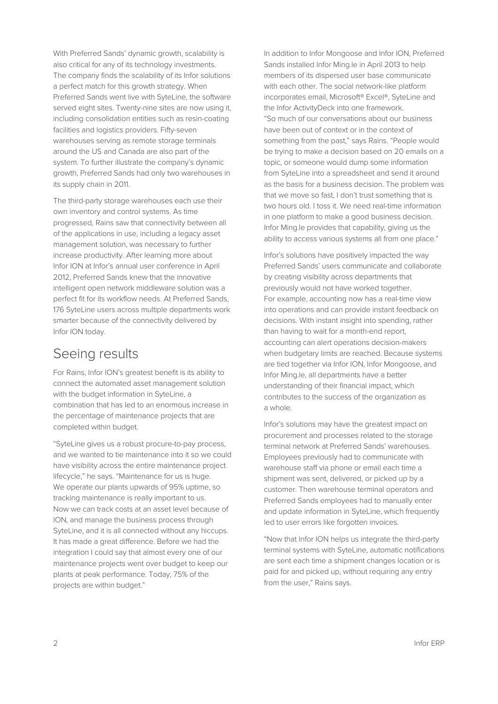With Preferred Sands' dynamic growth, scalability is also critical for any of its technology investments. The company finds the scalability of its Infor solutions a perfect match for this growth strategy. When Preferred Sands went live with SyteLine, the software served eight sites. Twenty-nine sites are now using it, including consolidation entities such as resin-coating facilities and logistics providers. Fifty-seven warehouses serving as remote storage terminals around the US and Canada are also part of the system. To further illustrate the company's dynamic growth, Preferred Sands had only two warehouses in its supply chain in 2011.

The third-party storage warehouses each use their own inventory and control systems. As time progressed, Rains saw that connectivity between all of the applications in use, including a legacy asset management solution, was necessary to further increase productivity. After learning more about Infor ION at Infor's annual user conference in April 2012, Preferred Sands knew that the innovative intelligent open network middleware solution was a perfect fit for its workflow needs. At Preferred Sands, 176 SyteLine users across multiple departments work smarter because of the connectivity delivered by Infor ION today.

#### Seeing results

For Rains, Infor ION's greatest benefit is its ability to connect the automated asset management solution with the budget information in SyteLine, a combination that has led to an enormous increase in the percentage of maintenance projects that are completed within budget.

"SyteLine gives us a robust procure-to-pay process, and we wanted to tie maintenance into it so we could have visibility across the entire maintenance project lifecycle," he says. "Maintenance for us is huge. We operate our plants upwards of 95% uptime, so tracking maintenance is really important to us. Now we can track costs at an asset level because of ION, and manage the business process through SyteLine, and it is all connected without any hiccups. It has made a great difference. Before we had the integration I could say that almost every one of our maintenance projects went over budget to keep our plants at peak performance. Today, 75% of the projects are within budget."

In addition to Infor Mongoose and Infor ION, Preferred Sands installed Infor Ming.le in April 2013 to help members of its dispersed user base communicate with each other. The social network-like platform incorporates email, Microsoft® Excel®, SyteLine and the Infor ActivityDeck into one framework. "So much of our conversations about our business have been out of context or in the context of something from the past," says Rains. "People would be trying to make a decision based on 20 emails on a topic, or someone would dump some information from SyteLine into a spreadsheet and send it around as the basis for a business decision. The problem was that we move so fast, I don't trust something that is two hours old. I toss it. We need real-time information in one platform to make a good business decision. Infor Ming.le provides that capability, giving us the ability to access various systems all from one place."

Infor's solutions have positively impacted the way Preferred Sands' users communicate and collaborate by creating visibility across departments that previously would not have worked together. For example, accounting now has a real-time view into operations and can provide instant feedback on decisions. With instant insight into spending, rather than having to wait for a month-end report, accounting can alert operations decision-makers when budgetary limits are reached. Because systems are tied together via Infor ION, Infor Mongoose, and Infor Ming.le, all departments have a better understanding of their financial impact, which contributes to the success of the organization as a whole.

Infor's solutions may have the greatest impact on procurement and processes related to the storage terminal network at Preferred Sands' warehouses. Employees previously had to communicate with warehouse staff via phone or email each time a shipment was sent, delivered, or picked up by a customer. Then warehouse terminal operators and Preferred Sands employees had to manually enter and update information in SyteLine, which frequently led to user errors like forgotten invoices.

"Now that Infor ION helps us integrate the third-party terminal systems with SyteLine, automatic notifications are sent each time a shipment changes location or is paid for and picked up, without requiring any entry from the user," Rains says.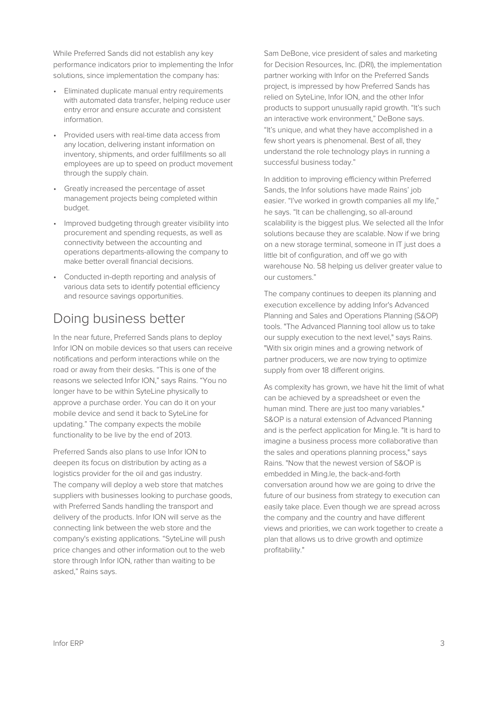While Preferred Sands did not establish any key performance indicators prior to implementing the Infor solutions, since implementation the company has:

- Eliminated duplicate manual entry requirements with automated data transfer, helping reduce user entry error and ensure accurate and consistent information.
- Provided users with real-time data access from any location, delivering instant information on inventory, shipments, and order fulfillments so all employees are up to speed on product movement through the supply chain.
- Greatly increased the percentage of asset management projects being completed within budget.
- Improved budgeting through greater visibility into procurement and spending requests, as well as connectivity between the accounting and operations departments-allowing the company to make better overall financial decisions.
- Conducted in-depth reporting and analysis of various data sets to identify potential efficiency and resource savings opportunities.

#### Doing business better

In the near future, Preferred Sands plans to deploy Infor ION on mobile devices so that users can receive notifications and perform interactions while on the road or away from their desks. "This is one of the reasons we selected Infor ION," says Rains. "You no longer have to be within SyteLine physically to approve a purchase order. You can do it on your mobile device and send it back to SyteLine for updating." The company expects the mobile functionality to be live by the end of 2013.

Preferred Sands also plans to use Infor ION to deepen its focus on distribution by acting as a logistics provider for the oil and gas industry. The company will deploy a web store that matches suppliers with businesses looking to purchase goods, with Preferred Sands handling the transport and delivery of the products. Infor ION will serve as the connecting link between the web store and the company's existing applications. "SyteLine will push price changes and other information out to the web store through Infor ION, rather than waiting to be asked," Rains says.

Sam DeBone, vice president of sales and marketing for Decision Resources, Inc. (DRI), the implementation partner working with Infor on the Preferred Sands project, is impressed by how Preferred Sands has relied on SyteLine, Infor ION, and the other Infor products to support unusually rapid growth. "It's such an interactive work environment," DeBone says. "It's unique, and what they have accomplished in a few short years is phenomenal. Best of all, they understand the role technology plays in running a successful business today."

In addition to improving efficiency within Preferred Sands, the Infor solutions have made Rains' job easier. "I've worked in growth companies all my life," he says. "It can be challenging, so all-around scalability is the biggest plus. We selected all the Infor solutions because they are scalable. Now if we bring on a new storage terminal, someone in IT just does a little bit of configuration, and off we go with warehouse No. 58 helping us deliver greater value to our customers."

The company continues to deepen its planning and execution excellence by adding Infor's Advanced Planning and Sales and Operations Planning (S&OP) tools. "The Advanced Planning tool allow us to take our supply execution to the next level," says Rains. "With six origin mines and a growing network of partner producers, we are now trying to optimize supply from over 18 different origins.

As complexity has grown, we have hit the limit of what can be achieved by a spreadsheet or even the human mind. There are just too many variables." S&OP is a natural extension of Advanced Planning and is the perfect application for Ming.le. "It is hard to imagine a business process more collaborative than the sales and operations planning process," says Rains. "Now that the newest version of S&OP is embedded in Ming.le, the back-and-forth conversation around how we are going to drive the future of our business from strategy to execution can easily take place. Even though we are spread across the company and the country and have different views and priorities, we can work together to create a plan that allows us to drive growth and optimize profitability."